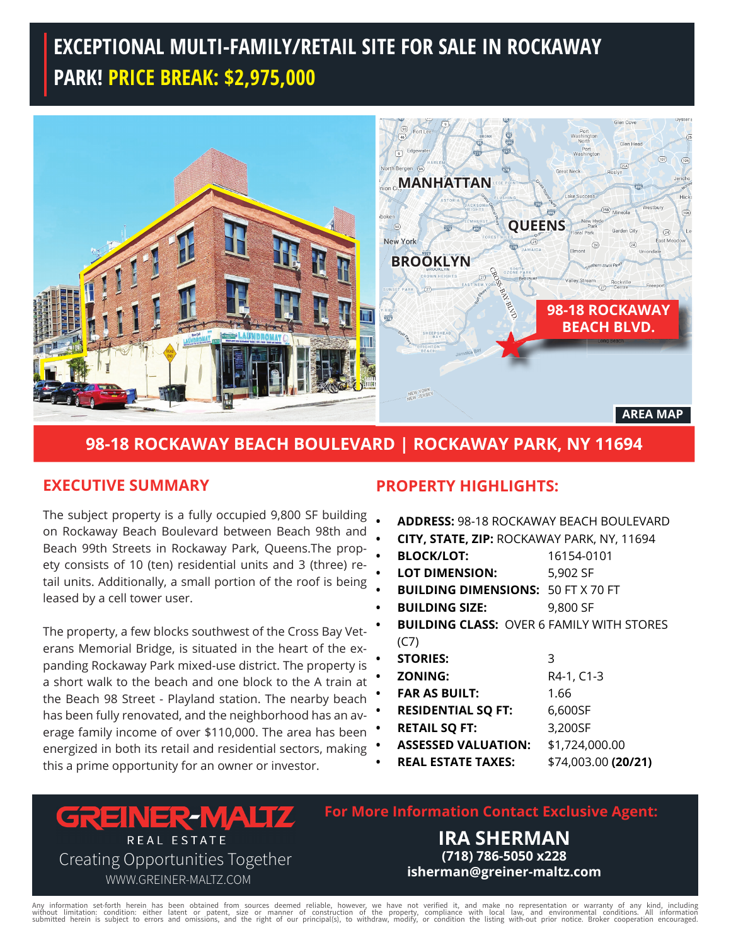# **EXCEPTIONAL MULTI-FAMILY/RETAIL SITE FOR SALE IN ROCKAWAY PARK! PRICE BREAK: \$2,975,000**



## **98-18 ROCKAWAY BEACH BOULEVARD | ROCKAWAY PARK, NY 11694**

#### **EXECUTIVE SUMMARY**

The subject property is a fully occupied 9,800 SF building on Rockaway Beach Boulevard between Beach 98th and Beach 99th Streets in Rockaway Park, Queens.The propety consists of 10 (ten) residential units and 3 (three) retail units. Additionally, a small portion of the roof is being leased by a cell tower user.

The property, a few blocks southwest of the Cross Bay Veterans Memorial Bridge, is situated in the heart of the expanding Rockaway Park mixed-use district. The property is a short walk to the beach and one block to the A train at the Beach 98 Street - Playland station. The nearby beach has been fully renovated, and the neighborhood has an average family income of over \$110,000. The area has been energized in both its retail and residential sectors, making this a prime opportunity for an owner or investor.

#### **PROPERTY HIGHLIGHTS:**

- **ADDRESS:** 98-18 ROCKAWAY BEACH BOULEVARD
- **• CITY, STATE, ZIP:** ROCKAWAY PARK, NY, 11694
- **BLOCK/LOT:** 16154-0101
- **LOT DIMENSION:** 5,902 SF
- **BUILDING DIMENSIONS:** 50 FT X 70 FT
- **BUILDING SIZE:** 9,800 SF
- **BUILDING CLASS:** OVER 6 FAMILY WITH STORES (C7)
- **STORIES:** 3
	- *B***ONING:** R4-1, C1-3
- **FAR AS BUILT:** 1.66
- **RESIDENTIAL SQ FT:** 6,600SF
- **RETAIL SQ FT:** 3,200SF
	- **ASSESSED VALUATION:** \$1,724,000.00
- **REAL ESTATE TAXES:** \$74,003.00 **(20/21)**

**GREINER-MALTZ** REAL ESTATE Creating Opportunities Together

WWW.GREINER-MALTZ.COM

**For More Information Contact Exclusive Agent:**

**IRA SHERMAN (718) 786-5050 x228 isherman@greiner-maltz.com**

Any information set-forth herein has been obtained from sources deemed reliable, however, we have not verified it, and make no representation or warranty of any kind, including<br>without limitation: condition: either latent